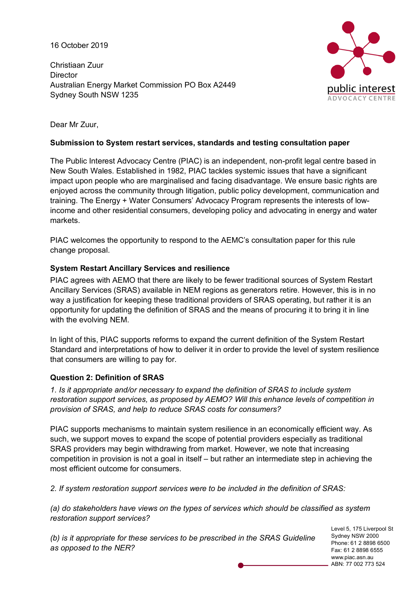16 October 2019

Christiaan Zuur **Director** Australian Energy Market Commission PO Box A2449 Sydney South NSW 1235



Dear Mr Zuur,

### **Submission to System restart services, standards and testing consultation paper**

The Public Interest Advocacy Centre (PIAC) is an independent, non-profit legal centre based in New South Wales. Established in 1982, PIAC tackles systemic issues that have a significant impact upon people who are marginalised and facing disadvantage. We ensure basic rights are enjoyed across the community through litigation, public policy development, communication and training. The Energy + Water Consumers' Advocacy Program represents the interests of lowincome and other residential consumers, developing policy and advocating in energy and water markets.

PIAC welcomes the opportunity to respond to the AEMC's consultation paper for this rule change proposal.

## **System Restart Ancillary Services and resilience**

PIAC agrees with AEMO that there are likely to be fewer traditional sources of System Restart Ancillary Services (SRAS) available in NEM regions as generators retire. However, this is in no way a justification for keeping these traditional providers of SRAS operating, but rather it is an opportunity for updating the definition of SRAS and the means of procuring it to bring it in line with the evolving NEM.

In light of this, PIAC supports reforms to expand the current definition of the System Restart Standard and interpretations of how to deliver it in order to provide the level of system resilience that consumers are willing to pay for.

## **Question 2: Definition of SRAS**

*1. Is it appropriate and/or necessary to expand the definition of SRAS to include system restoration support services, as proposed by AEMO? Will this enhance levels of competition in provision of SRAS, and help to reduce SRAS costs for consumers?*

PIAC supports mechanisms to maintain system resilience in an economically efficient way. As such, we support moves to expand the scope of potential providers especially as traditional SRAS providers may begin withdrawing from market. However, we note that increasing competition in provision is not a goal in itself – but rather an intermediate step in achieving the most efficient outcome for consumers.

*2. If system restoration support services were to be included in the definition of SRAS:* 

*(a) do stakeholders have views on the types of services which should be classified as system restoration support services?* 

*(b) is it appropriate for these services to be prescribed in the SRAS Guideline as opposed to the NER?* 

Level 5, 175 Liverpool St Sydney NSW 2000 Phone: 61 2 8898 6500 Fax: 61 2 8898 6555 www.piac.asn.au ABN: 77 002 773 524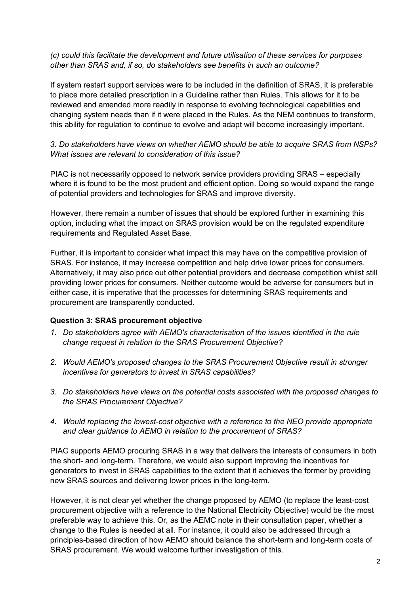*(c) could this facilitate the development and future utilisation of these services for purposes other than SRAS and, if so, do stakeholders see benefits in such an outcome?*

If system restart support services were to be included in the definition of SRAS, it is preferable to place more detailed prescription in a Guideline rather than Rules. This allows for it to be reviewed and amended more readily in response to evolving technological capabilities and changing system needs than if it were placed in the Rules. As the NEM continues to transform, this ability for regulation to continue to evolve and adapt will become increasingly important.

*3. Do stakeholders have views on whether AEMO should be able to acquire SRAS from NSPs? What issues are relevant to consideration of this issue?*

PIAC is not necessarily opposed to network service providers providing SRAS – especially where it is found to be the most prudent and efficient option. Doing so would expand the range of potential providers and technologies for SRAS and improve diversity.

However, there remain a number of issues that should be explored further in examining this option, including what the impact on SRAS provision would be on the regulated expenditure requirements and Regulated Asset Base.

Further, it is important to consider what impact this may have on the competitive provision of SRAS. For instance, it may increase competition and help drive lower prices for consumers. Alternatively, it may also price out other potential providers and decrease competition whilst still providing lower prices for consumers. Neither outcome would be adverse for consumers but in either case, it is imperative that the processes for determining SRAS requirements and procurement are transparently conducted.

#### **Question 3: SRAS procurement objective**

- *1. Do stakeholders agree with AEMO's characterisation of the issues identified in the rule change request in relation to the SRAS Procurement Objective?*
- *2. Would AEMO's proposed changes to the SRAS Procurement Objective result in stronger incentives for generators to invest in SRAS capabilities?*
- *3. Do stakeholders have views on the potential costs associated with the proposed changes to the SRAS Procurement Objective?*
- *4. Would replacing the lowest-cost objective with a reference to the NEO provide appropriate and clear guidance to AEMO in relation to the procurement of SRAS?*

PIAC supports AEMO procuring SRAS in a way that delivers the interests of consumers in both the short- and long-term. Therefore, we would also support improving the incentives for generators to invest in SRAS capabilities to the extent that it achieves the former by providing new SRAS sources and delivering lower prices in the long-term.

However, it is not clear yet whether the change proposed by AEMO (to replace the least-cost procurement objective with a reference to the National Electricity Objective) would be the most preferable way to achieve this. Or, as the AEMC note in their consultation paper, whether a change to the Rules is needed at all. For instance, it could also be addressed through a principles-based direction of how AEMO should balance the short-term and long-term costs of SRAS procurement. We would welcome further investigation of this.